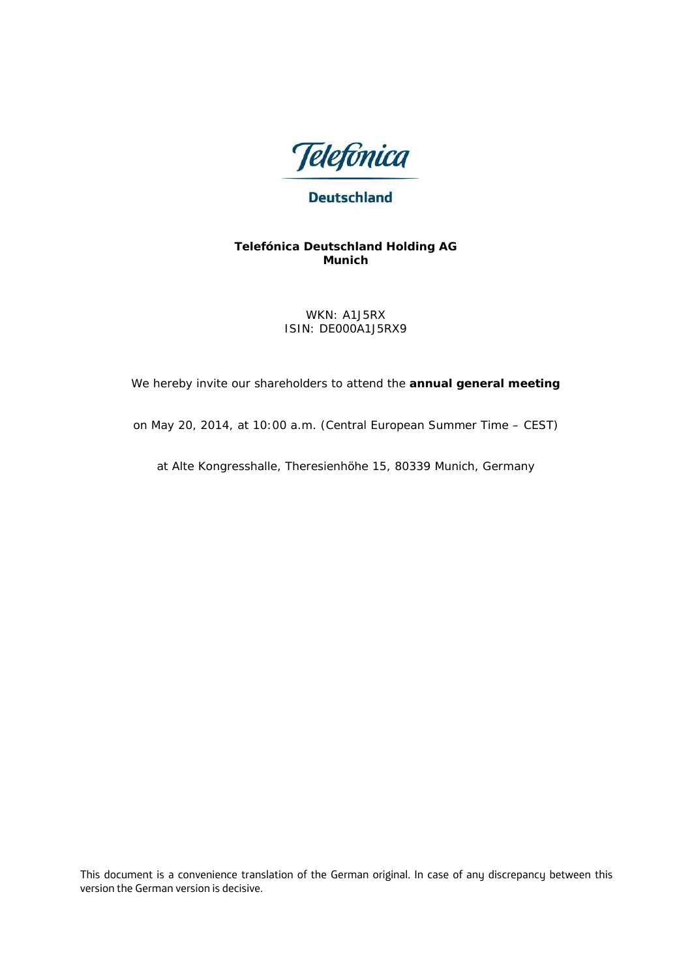

# **Deutschland**

### **Telefónica Deutschland Holding AG Munich**

WKN: A1J5RX ISIN: DE000A1J5RX9

We hereby invite our shareholders to attend the **annual general meeting**

on May 20, 2014, at 10:00 a.m. (Central European Summer Time – CEST)

at Alte Kongresshalle, Theresienhöhe 15, 80339 Munich, Germany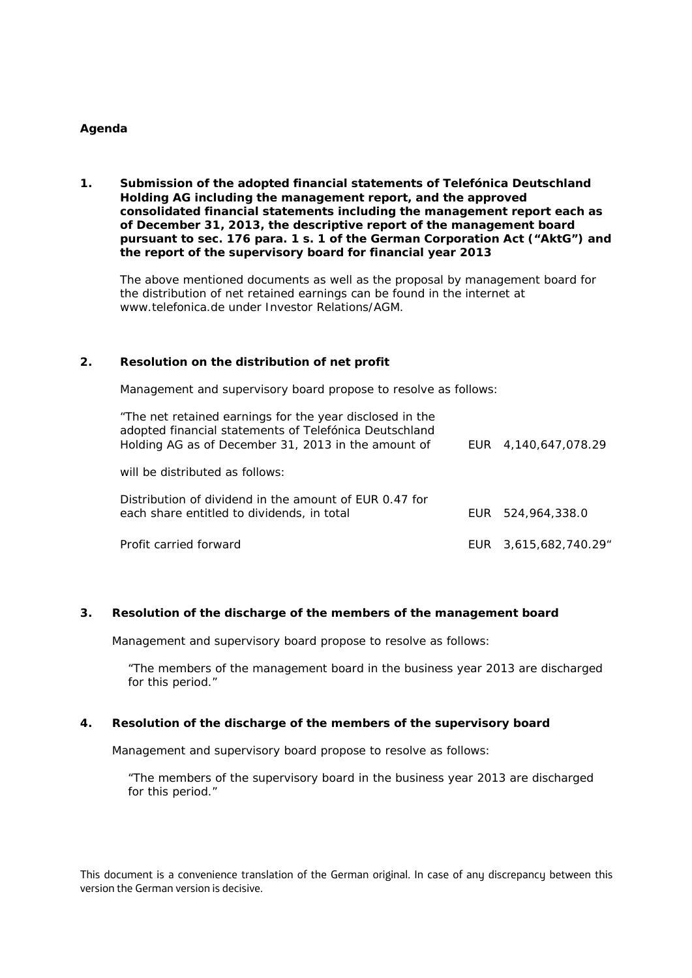#### **Agenda**

**1. Submission of the adopted financial statements of Telefónica Deutschland Holding AG including the management report, and the approved consolidated financial statements including the management report each as of December 31, 2013, the descriptive report of the management board pursuant to sec. 176 para. 1 s. 1 of the German Corporation Act ("AktG") and the report of the supervisory board for financial year 2013**

The above mentioned documents as well as the proposal by management board for the distribution of net retained earnings can be found in the internet at www.telefonica.de under Investor Relations/AGM.

#### **2. Resolution on the distribution of net profit**

Management and supervisory board propose to resolve as follows:

| "The net retained earnings for the year disclosed in the<br>adopted financial statements of Telefónica Deutschland<br>Holding AG as of December 31, 2013 in the amount of | EUR 4.140.647.078.29 |
|---------------------------------------------------------------------------------------------------------------------------------------------------------------------------|----------------------|
| will be distributed as follows:                                                                                                                                           |                      |
| Distribution of dividend in the amount of EUR 0.47 for<br>each share entitled to dividends, in total                                                                      | EUR 524,964,338.0    |
| Profit carried forward                                                                                                                                                    | EUR 3,615,682,740.29 |

#### **3. Resolution of the discharge of the members of the management board**

Management and supervisory board propose to resolve as follows:

"The members of the management board in the business year 2013 are discharged for this period."

#### **4. Resolution of the discharge of the members of the supervisory board**

Management and supervisory board propose to resolve as follows:

"The members of the supervisory board in the business year 2013 are discharged for this period."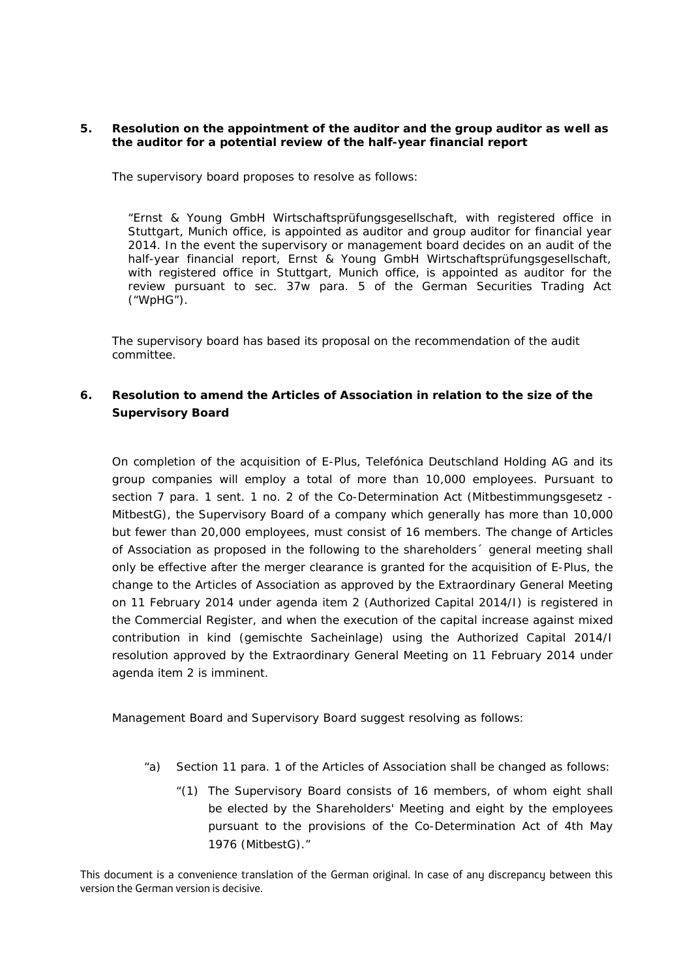#### **5. Resolution on the appointment of the auditor and the group auditor as well as the auditor for a potential review of the half-year financial report**

The supervisory board proposes to resolve as follows:

"Ernst & Young GmbH Wirtschaftsprüfungsgesellschaft, with registered office in Stuttgart, Munich office, is appointed as auditor and group auditor for financial year 2014. In the event the supervisory or management board decides on an audit of the half-year financial report, Ernst & Young GmbH Wirtschaftsprüfungsgesellschaft, with registered office in Stuttgart, Munich office, is appointed as auditor for the review pursuant to sec. 37w para. 5 of the German Securities Trading Act ("WpHG").

The supervisory board has based its proposal on the recommendation of the audit committee.

## **6. Resolution to amend the Articles of Association in relation to the size of the Supervisory Board**

On completion of the acquisition of E-Plus, Telefónica Deutschland Holding AG and its group companies will employ a total of more than 10,000 employees. Pursuant to section 7 para. 1 sent. 1 no. 2 of the Co-Determination Act (Mitbestimmungsgesetz - MitbestG), the Supervisory Board of a company which generally has more than 10,000 but fewer than 20,000 employees, must consist of 16 members. The change of Articles of Association as proposed in the following to the shareholders´ general meeting shall only be effective after the merger clearance is granted for the acquisition of E-Plus, the change to the Articles of Association as approved by the Extraordinary General Meeting on 11 February 2014 under agenda item 2 (Authorized Capital 2014/I) is registered in the Commercial Register, and when the execution of the capital increase against mixed contribution in kind (gemischte Sacheinlage) using the Authorized Capital 2014/I resolution approved by the Extraordinary General Meeting on 11 February 2014 under agenda item 2 is imminent.

Management Board and Supervisory Board suggest resolving as follows:

- "a) Section 11 para. 1 of the Articles of Association shall be changed as follows:
	- "(1) The Supervisory Board consists of 16 members, of whom eight shall be elected by the Shareholders' Meeting and eight by the employees pursuant to the provisions of the Co-Determination Act of 4th May 1976 (MitbestG)."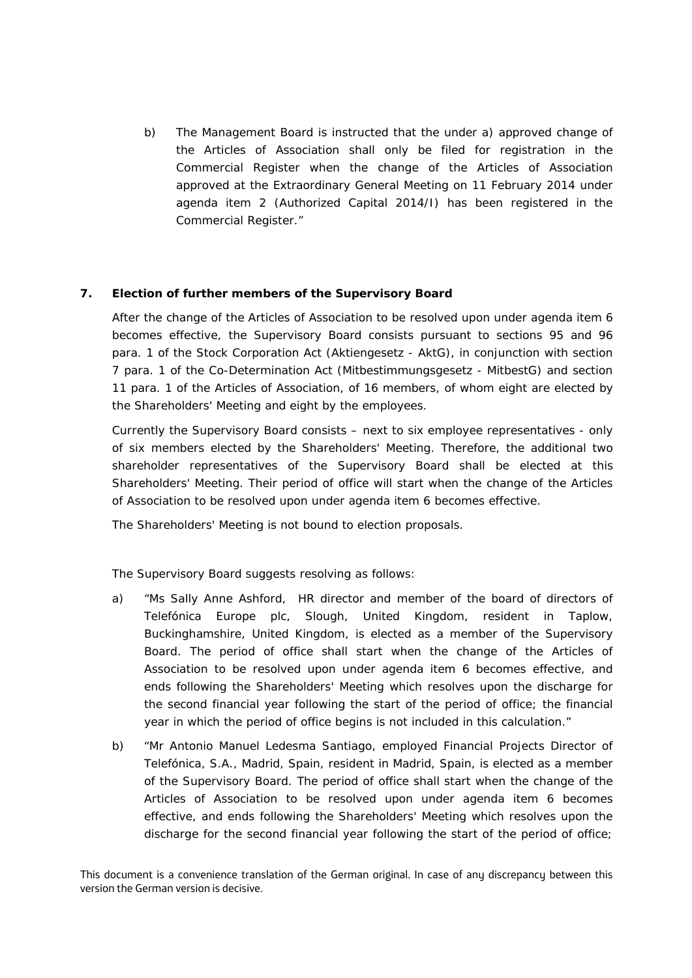b) The Management Board is instructed that the under a) approved change of the Articles of Association shall only be filed for registration in the Commercial Register when the change of the Articles of Association approved at the Extraordinary General Meeting on 11 February 2014 under agenda item 2 (Authorized Capital 2014/I) has been registered in the Commercial Register."

## **7. Election of further members of the Supervisory Board**

After the change of the Articles of Association to be resolved upon under agenda item 6 becomes effective, the Supervisory Board consists pursuant to sections 95 and 96 para. 1 of the Stock Corporation Act (Aktiengesetz - AktG), in conjunction with section 7 para. 1 of the Co-Determination Act (Mitbestimmungsgesetz - MitbestG) and section 11 para. 1 of the Articles of Association, of 16 members, of whom eight are elected by the Shareholders' Meeting and eight by the employees.

Currently the Supervisory Board consists – next to six employee representatives - only of six members elected by the Shareholders' Meeting. Therefore, the additional two shareholder representatives of the Supervisory Board shall be elected at this Shareholders' Meeting. Their period of office will start when the change of the Articles of Association to be resolved upon under agenda item 6 becomes effective.

The Shareholders' Meeting is not bound to election proposals.

The Supervisory Board suggests resolving as follows:

- a) "Ms Sally Anne Ashford, HR director and member of the board of directors of Telefónica Europe plc, Slough, United Kingdom, resident in Taplow, Buckinghamshire, United Kingdom, is elected as a member of the Supervisory Board. The period of office shall start when the change of the Articles of Association to be resolved upon under agenda item 6 becomes effective, and ends following the Shareholders' Meeting which resolves upon the discharge for the second financial year following the start of the period of office; the financial year in which the period of office begins is not included in this calculation."
- b) "Mr Antonio Manuel Ledesma Santiago, employed Financial Projects Director of Telefónica, S.A., Madrid, Spain, resident in Madrid, Spain, is elected as a member of the Supervisory Board. The period of office shall start when the change of the Articles of Association to be resolved upon under agenda item 6 becomes effective, and ends following the Shareholders' Meeting which resolves upon the discharge for the second financial year following the start of the period of office;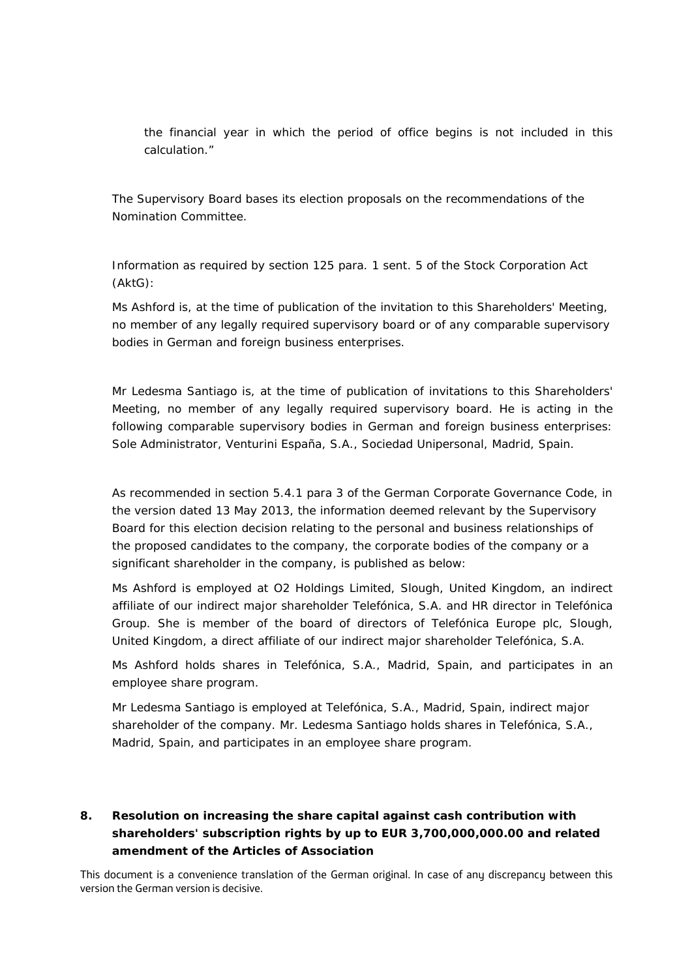the financial year in which the period of office begins is not included in this calculation."

The Supervisory Board bases its election proposals on the recommendations of the Nomination Committee.

Information as required by section 125 para. 1 sent. 5 of the Stock Corporation Act (AktG):

Ms Ashford is, at the time of publication of the invitation to this Shareholders' Meeting, no member of any legally required supervisory board or of any comparable supervisory bodies in German and foreign business enterprises.

Mr Ledesma Santiago is, at the time of publication of invitations to this Shareholders' Meeting, no member of any legally required supervisory board. He is acting in the following comparable supervisory bodies in German and foreign business enterprises: Sole Administrator, Venturini España, S.A., Sociedad Unipersonal, Madrid, Spain.

As recommended in section 5.4.1 para 3 of the German Corporate Governance Code, in the version dated 13 May 2013, the information deemed relevant by the Supervisory Board for this election decision relating to the personal and business relationships of the proposed candidates to the company, the corporate bodies of the company or a significant shareholder in the company, is published as below:

Ms Ashford is employed at O2 Holdings Limited, Slough, United Kingdom, an indirect affiliate of our indirect major shareholder Telefónica, S.A. and HR director in Telefónica Group. She is member of the board of directors of Telefónica Europe plc, Slough, United Kingdom, a direct affiliate of our indirect major shareholder Telefónica, S.A.

Ms Ashford holds shares in Telefónica, S.A., Madrid, Spain, and participates in an employee share program.

Mr Ledesma Santiago is employed at Telefónica, S.A., Madrid, Spain, indirect major shareholder of the company. Mr. Ledesma Santiago holds shares in Telefónica, S.A., Madrid, Spain, and participates in an employee share program.

# **8. Resolution on increasing the share capital against cash contribution with shareholders' subscription rights by up to EUR 3,700,000,000.00 and related amendment of the Articles of Association**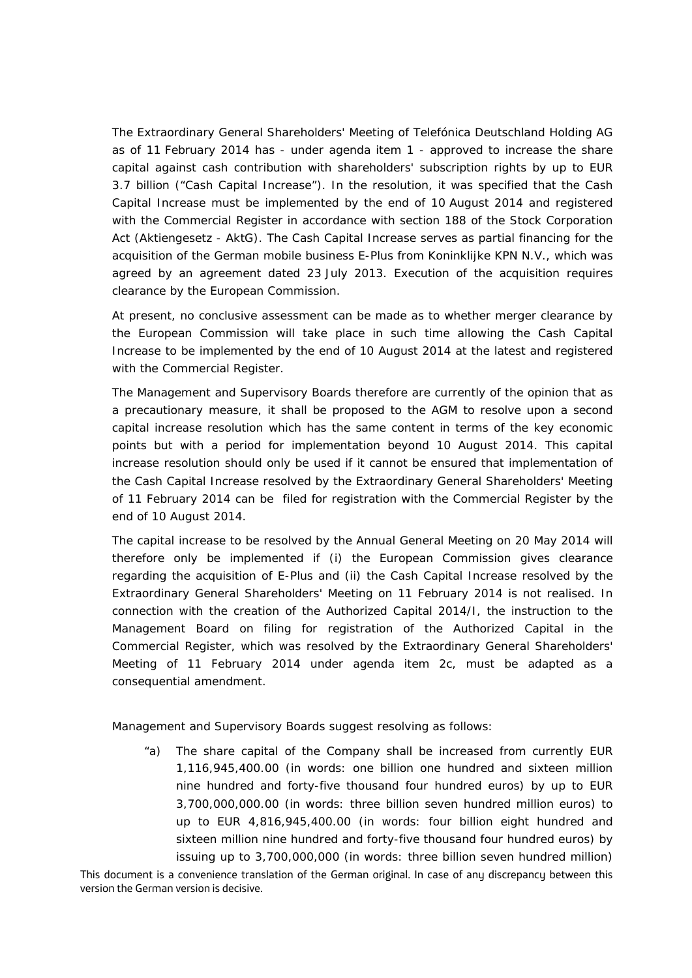The Extraordinary General Shareholders' Meeting of Telefónica Deutschland Holding AG as of 11 February 2014 has - under agenda item 1 - approved to increase the share capital against cash contribution with shareholders' subscription rights by up to EUR 3.7 billion ("Cash Capital Increase"). In the resolution, it was specified that the Cash Capital Increase must be implemented by the end of 10 August 2014 and registered with the Commercial Register in accordance with section 188 of the Stock Corporation Act (Aktiengesetz - AktG). The Cash Capital Increase serves as partial financing for the acquisition of the German mobile business E-Plus from Koninklijke KPN N.V., which was agreed by an agreement dated 23 July 2013. Execution of the acquisition requires clearance by the European Commission.

At present, no conclusive assessment can be made as to whether merger clearance by the European Commission will take place in such time allowing the Cash Capital Increase to be implemented by the end of 10 August 2014 at the latest and registered with the Commercial Register.

The Management and Supervisory Boards therefore are currently of the opinion that as a precautionary measure, it shall be proposed to the AGM to resolve upon a second capital increase resolution which has the same content in terms of the key economic points but with a period for implementation beyond 10 August 2014. This capital increase resolution should only be used if it cannot be ensured that implementation of the Cash Capital Increase resolved by the Extraordinary General Shareholders' Meeting of 11 February 2014 can be filed for registration with the Commercial Register by the end of 10 August 2014.

The capital increase to be resolved by the Annual General Meeting on 20 May 2014 will therefore only be implemented if (i) the European Commission gives clearance regarding the acquisition of E-Plus and (ii) the Cash Capital Increase resolved by the Extraordinary General Shareholders' Meeting on 11 February 2014 is not realised. In connection with the creation of the Authorized Capital 2014/I, the instruction to the Management Board on filing for registration of the Authorized Capital in the Commercial Register, which was resolved by the Extraordinary General Shareholders' Meeting of 11 February 2014 under agenda item 2c, must be adapted as a consequential amendment.

Management and Supervisory Boards suggest resolving as follows:

"a) The share capital of the Company shall be increased from currently EUR 1,116,945,400.00 (in words: one billion one hundred and sixteen million nine hundred and forty-five thousand four hundred euros) by up to EUR 3,700,000,000.00 (in words: three billion seven hundred million euros) to up to EUR 4,816,945,400.00 (in words: four billion eight hundred and sixteen million nine hundred and forty-five thousand four hundred euros) by issuing up to 3,700,000,000 (in words: three billion seven hundred million)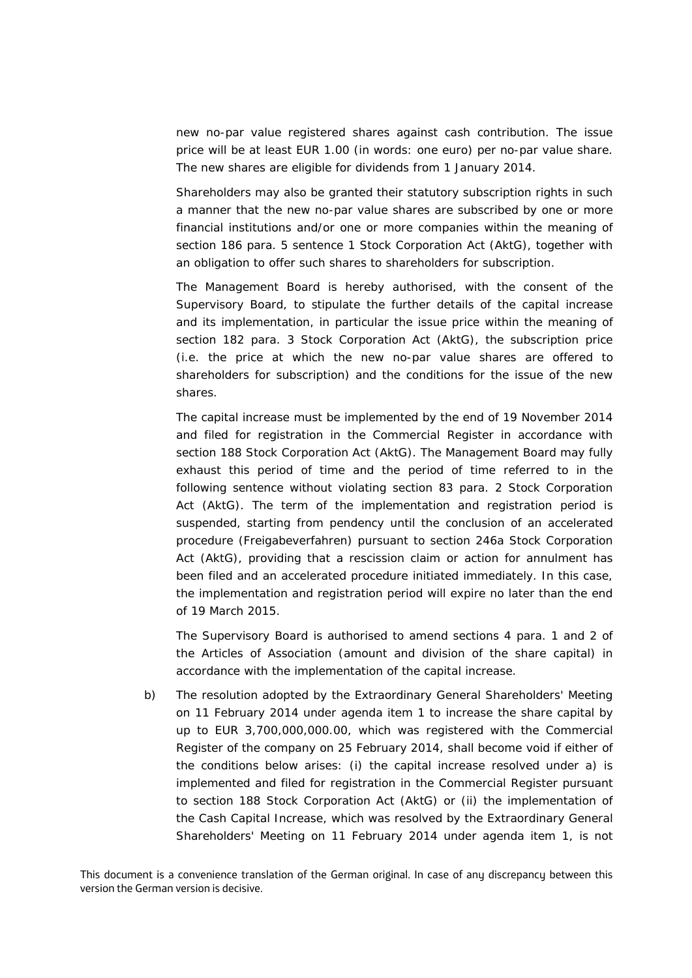new no-par value registered shares against cash contribution. The issue price will be at least EUR 1.00 (in words: one euro) per no-par value share. The new shares are eligible for dividends from 1 January 2014.

Shareholders may also be granted their statutory subscription rights in such a manner that the new no-par value shares are subscribed by one or more financial institutions and/or one or more companies within the meaning of section 186 para. 5 sentence 1 Stock Corporation Act (AktG), together with an obligation to offer such shares to shareholders for subscription.

The Management Board is hereby authorised, with the consent of the Supervisory Board, to stipulate the further details of the capital increase and its implementation, in particular the issue price within the meaning of section 182 para. 3 Stock Corporation Act (AktG), the subscription price (i.e. the price at which the new no-par value shares are offered to shareholders for subscription) and the conditions for the issue of the new shares.

The capital increase must be implemented by the end of 19 November 2014 and filed for registration in the Commercial Register in accordance with section 188 Stock Corporation Act (AktG). The Management Board may fully exhaust this period of time and the period of time referred to in the following sentence without violating section 83 para. 2 Stock Corporation Act (AktG). The term of the implementation and registration period is suspended, starting from pendency until the conclusion of an accelerated procedure (*Freigabeverfahren*) pursuant to section 246a Stock Corporation Act (AktG), providing that a rescission claim or action for annulment has been filed and an accelerated procedure initiated immediately. In this case, the implementation and registration period will expire no later than the end of 19 March 2015.

The Supervisory Board is authorised to amend sections 4 para. 1 and 2 of the Articles of Association (amount and division of the share capital) in accordance with the implementation of the capital increase.

b) The resolution adopted by the Extraordinary General Shareholders' Meeting on 11 February 2014 under agenda item 1 to increase the share capital by up to EUR 3,700,000,000.00, which was registered with the Commercial Register of the company on 25 February 2014, shall become void if either of the conditions below arises: (i) the capital increase resolved under a) is implemented and filed for registration in the Commercial Register pursuant to section 188 Stock Corporation Act (AktG) or (ii) the implementation of the Cash Capital Increase, which was resolved by the Extraordinary General Shareholders' Meeting on 11 February 2014 under agenda item 1, is not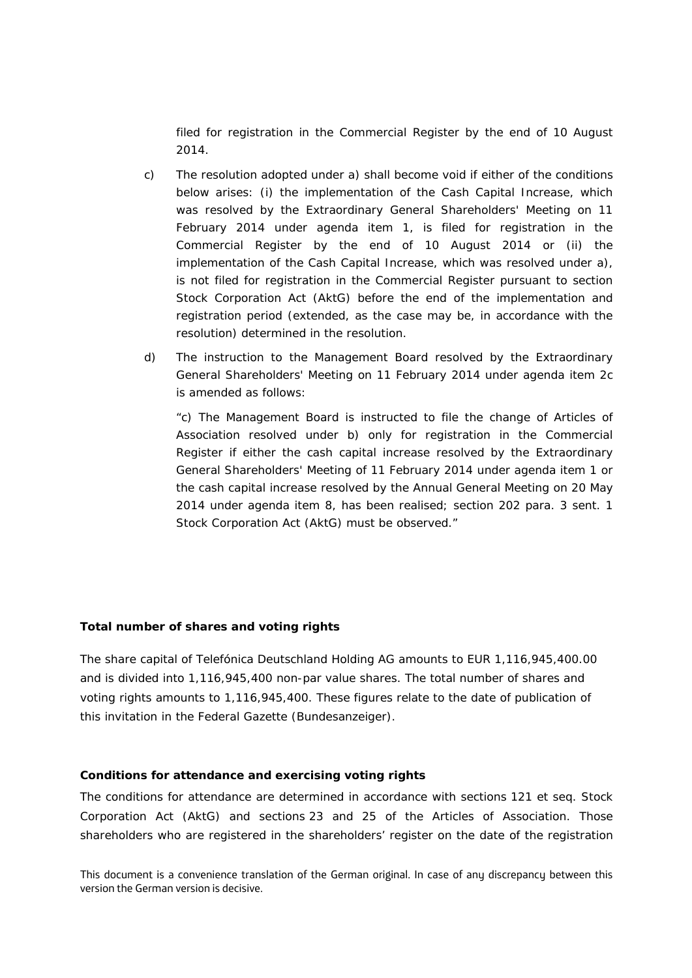filed for registration in the Commercial Register by the end of 10 August 2014.

- c) The resolution adopted under a) shall become void if either of the conditions below arises: (i) the implementation of the Cash Capital Increase, which was resolved by the Extraordinary General Shareholders' Meeting on 11 February 2014 under agenda item 1, is filed for registration in the Commercial Register by the end of 10 August 2014 or (ii) the implementation of the Cash Capital Increase, which was resolved under a), is not filed for registration in the Commercial Register pursuant to section Stock Corporation Act (AktG) before the end of the implementation and registration period (extended, as the case may be, in accordance with the resolution) determined in the resolution.
- d) The instruction to the Management Board resolved by the Extraordinary General Shareholders' Meeting on 11 February 2014 under agenda item 2c is amended as follows:

"c) The Management Board is instructed to file the change of Articles of Association resolved under b) only for registration in the Commercial Register if either the cash capital increase resolved by the Extraordinary General Shareholders' Meeting of 11 February 2014 under agenda item 1 or the cash capital increase resolved by the Annual General Meeting on 20 May 2014 under agenda item 8, has been realised; section 202 para. 3 sent. 1 Stock Corporation Act (AktG) must be observed."

## **Total number of shares and voting rights**

The share capital of Telefónica Deutschland Holding AG amounts to EUR 1,116,945,400.00 and is divided into 1,116,945,400 non-par value shares. The total number of shares and voting rights amounts to 1,116,945,400. These figures relate to the date of publication of this invitation in the Federal Gazette (*Bundesanzeiger*).

#### **Conditions for attendance and exercising voting rights**

The conditions for attendance are determined in accordance with sections 121 et seq. Stock Corporation Act (AktG) and sections 23 and 25 of the Articles of Association. Those shareholders who are registered in the shareholders' register on the date of the registration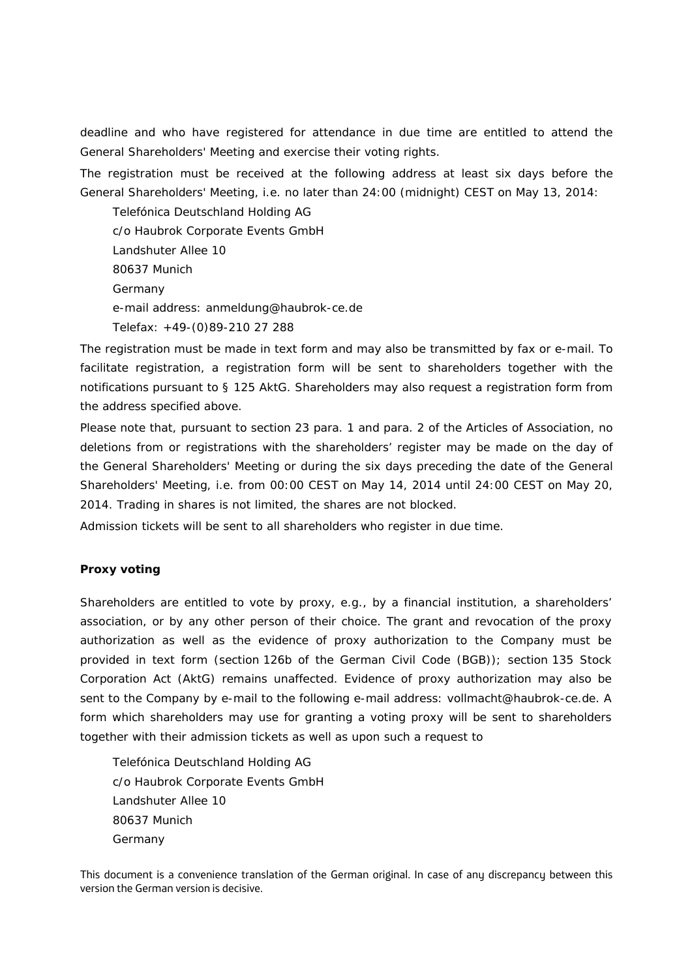deadline and who have registered for attendance in due time are entitled to attend the General Shareholders' Meeting and exercise their voting rights.

The registration must be received at the following address at least six days before the General Shareholders' Meeting, i.e. no later than 24:00 (midnight) CEST on May 13, 2014:

Telefónica Deutschland Holding AG c/o Haubrok Corporate Events GmbH Landshuter Allee 10 80637 Munich Germany e-mail address: anmeldung@haubrok-ce.de Telefax: +49-(0)89-210 27 288

The registration must be made in text form and may also be transmitted by fax or e-mail. To facilitate registration, a registration form will be sent to shareholders together with the notifications pursuant to § 125 AktG. Shareholders may also request a registration form from the address specified above.

Please note that, pursuant to section 23 para. 1 and para. 2 of the Articles of Association, no deletions from or registrations with the shareholders' register may be made on the day of the General Shareholders' Meeting or during the six days preceding the date of the General Shareholders' Meeting, i.e. from 00:00 CEST on May 14, 2014 until 24:00 CEST on May 20, 2014. Trading in shares is not limited, the shares are not blocked.

Admission tickets will be sent to all shareholders who register in due time.

## **Proxy voting**

Shareholders are entitled to vote by proxy, e.g., by a financial institution, a shareholders' association, or by any other person of their choice. The grant and revocation of the proxy authorization as well as the evidence of proxy authorization to the Company must be provided in text form (section 126b of the German Civil Code (BGB)); section 135 Stock Corporation Act (AktG) remains unaffected. Evidence of proxy authorization may also be sent to the Company by e-mail to the following e-mail address: vollmacht@haubrok-ce.de. A form which shareholders may use for granting a voting proxy will be sent to shareholders together with their admission tickets as well as upon such a request to

Telefónica Deutschland Holding AG c/o Haubrok Corporate Events GmbH Landshuter Allee 10 80637 Munich Germany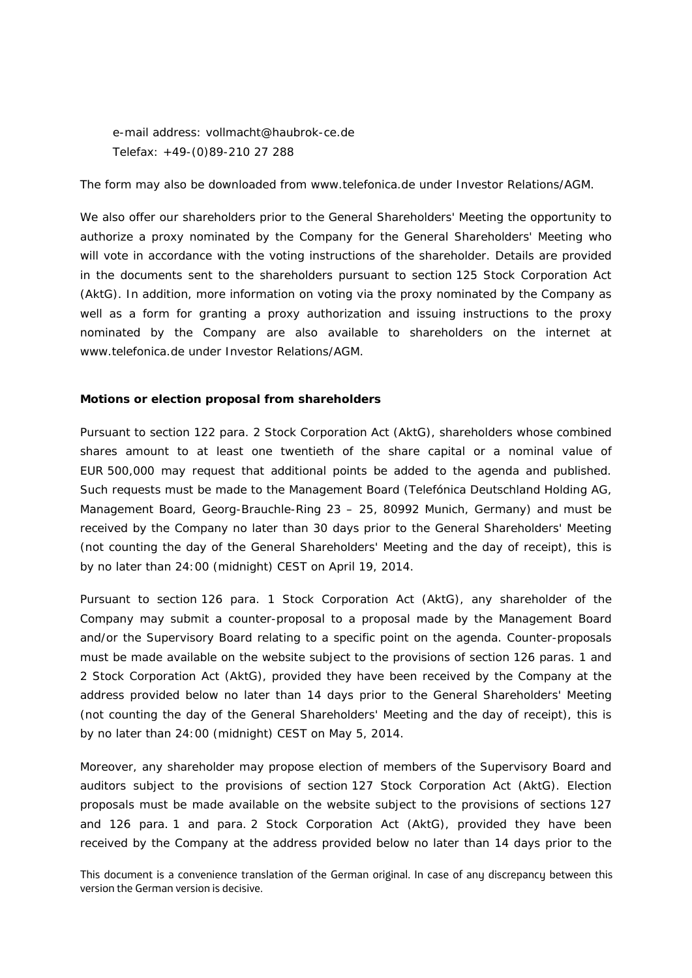e-mail address: vollmacht@haubrok-ce.de Telefax: +49-(0)89-210 27 288

The form may also be downloaded from www.telefonica.de under Investor Relations/AGM.

We also offer our shareholders prior to the General Shareholders' Meeting the opportunity to authorize a proxy nominated by the Company for the General Shareholders' Meeting who will vote in accordance with the voting instructions of the shareholder. Details are provided in the documents sent to the shareholders pursuant to section 125 Stock Corporation Act (AktG). In addition, more information on voting via the proxy nominated by the Company as well as a form for granting a proxy authorization and issuing instructions to the proxy nominated by the Company are also available to shareholders on the internet at www.telefonica.de under Investor Relations/AGM.

## **Motions or election proposal from shareholders**

Pursuant to section 122 para. 2 Stock Corporation Act (AktG), shareholders whose combined shares amount to at least one twentieth of the share capital or a nominal value of EUR 500,000 may request that additional points be added to the agenda and published. Such requests must be made to the Management Board (Telefónica Deutschland Holding AG, Management Board, Georg-Brauchle-Ring 23 – 25, 80992 Munich, Germany) and must be received by the Company no later than 30 days prior to the General Shareholders' Meeting (not counting the day of the General Shareholders' Meeting and the day of receipt), this is by no later than 24:00 (midnight) CEST on April 19, 2014.

Pursuant to section 126 para. 1 Stock Corporation Act (AktG), any shareholder of the Company may submit a counter-proposal to a proposal made by the Management Board and/or the Supervisory Board relating to a specific point on the agenda. Counter-proposals must be made available on the website subject to the provisions of section 126 paras. 1 and 2 Stock Corporation Act (AktG), provided they have been received by the Company at the address provided below no later than 14 days prior to the General Shareholders' Meeting (not counting the day of the General Shareholders' Meeting and the day of receipt), this is by no later than 24:00 (midnight) CEST on May 5, 2014.

Moreover, any shareholder may propose election of members of the Supervisory Board and auditors subject to the provisions of section 127 Stock Corporation Act (AktG). Election proposals must be made available on the website subject to the provisions of sections 127 and 126 para. 1 and para. 2 Stock Corporation Act (AktG), provided they have been received by the Company at the address provided below no later than 14 days prior to the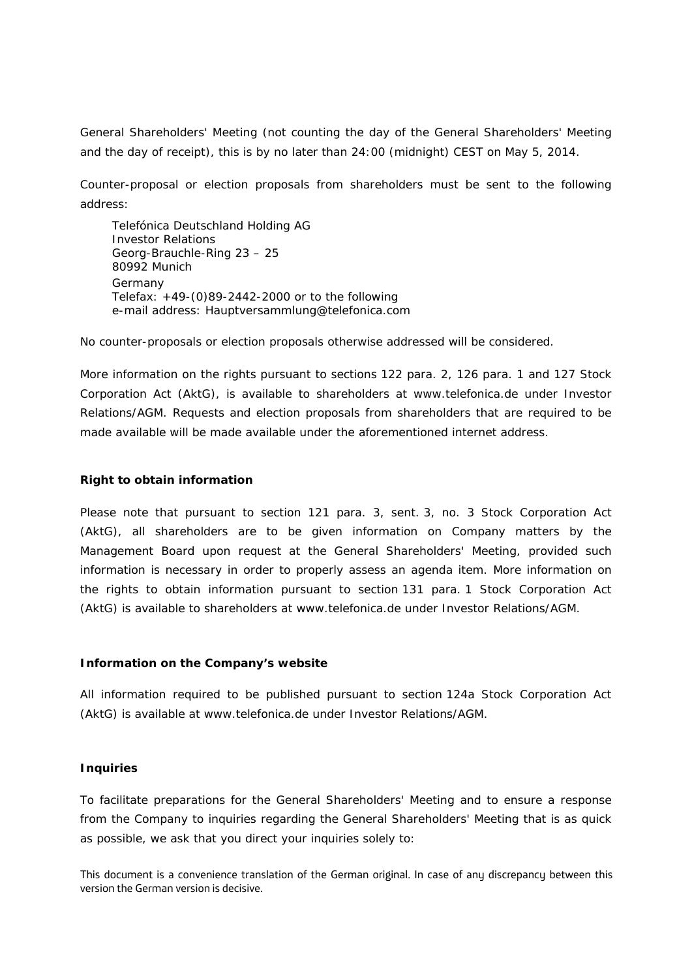General Shareholders' Meeting (not counting the day of the General Shareholders' Meeting and the day of receipt), this is by no later than 24:00 (midnight) CEST on May 5, 2014.

Counter-proposal or election proposals from shareholders must be sent to the following address:

Telefónica Deutschland Holding AG Investor Relations Georg-Brauchle-Ring 23 – 25 80992 Munich Germany Telefax: +49-(0)89-2442-2000 or to the following e-mail address: Hauptversammlung@telefonica.com

No counter-proposals or election proposals otherwise addressed will be considered.

More information on the rights pursuant to sections 122 para. 2, 126 para. 1 and 127 Stock Corporation Act (AktG), is available to shareholders at www.telefonica.de under Investor Relations/AGM. Requests and election proposals from shareholders that are required to be made available will be made available under the aforementioned internet address.

#### **Right to obtain information**

Please note that pursuant to section 121 para. 3, sent. 3, no. 3 Stock Corporation Act (AktG), all shareholders are to be given information on Company matters by the Management Board upon request at the General Shareholders' Meeting, provided such information is necessary in order to properly assess an agenda item. More information on the rights to obtain information pursuant to section 131 para. 1 Stock Corporation Act (AktG) is available to shareholders at www.telefonica.de under Investor Relations/AGM.

#### **Information on the Company's website**

All information required to be published pursuant to section 124a Stock Corporation Act (AktG) is available at www.telefonica.de under Investor Relations/AGM.

## **Inquiries**

To facilitate preparations for the General Shareholders' Meeting and to ensure a response from the Company to inquiries regarding the General Shareholders' Meeting that is as quick as possible, we ask that you direct your inquiries solely to: